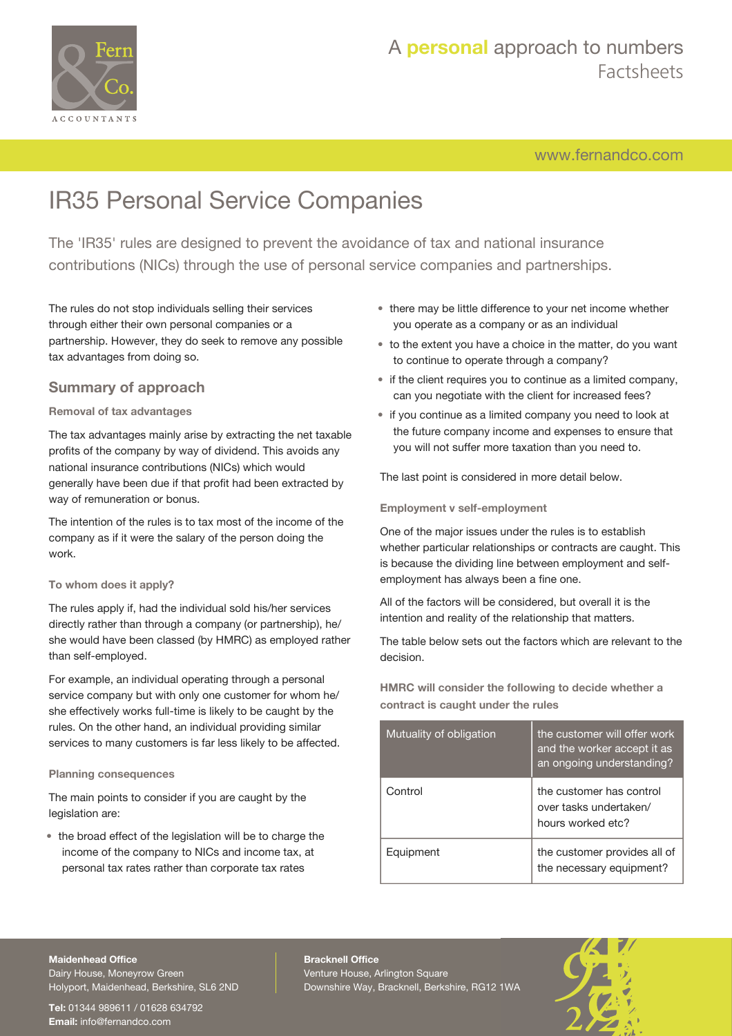

[www.fernandco.com](http://www.fernandco.com)

# IR35 Personal Service Companies

The 'IR35' rules are designed to prevent the avoidance of tax and national insurance contributions (NICs) through the use of personal service companies and partnerships.

The rules do not stop individuals selling their services through either their own personal companies or a partnership. However, they do seek to remove any possible tax advantages from doing so.

## **Summary of approach**

#### **Removal of tax advantages**

The tax advantages mainly arise by extracting the net taxable profits of the company by way of dividend. This avoids any national insurance contributions (NICs) which would generally have been due if that profit had been extracted by way of remuneration or bonus.

The intention of the rules is to tax most of the income of the company as if it were the salary of the person doing the work.

#### **To whom does it apply?**

The rules apply if, had the individual sold his/her services directly rather than through a company (or partnership), he/ she would have been classed (by HMRC) as employed rather than self-employed.

For example, an individual operating through a personal service company but with only one customer for whom he/ she effectively works full-time is likely to be caught by the rules. On the other hand, an individual providing similar services to many customers is far less likely to be affected.

#### **Planning consequences**

The main points to consider if you are caught by the legislation are:

• the broad effect of the legislation will be to charge the income of the company to NICs and income tax, at personal tax rates rather than corporate tax rates

- there may be little difference to your net income whether you operate as a company or as an individual
- to the extent you have a choice in the matter, do you want to continue to operate through a company?
- if the client requires you to continue as a limited company, can you negotiate with the client for increased fees?
- if you continue as a limited company you need to look at the future company income and expenses to ensure that you will not suffer more taxation than you need to.

The last point is considered in more detail below.

#### **Employment v self-employment**

One of the major issues under the rules is to establish whether particular relationships or contracts are caught. This is because the dividing line between employment and selfemployment has always been a fine one.

All of the factors will be considered, but overall it is the intention and reality of the relationship that matters.

The table below sets out the factors which are relevant to the decision.

**HMRC will consider the following to decide whether a contract is caught under the rules**

| Mutuality of obligation | the customer will offer work<br>and the worker accept it as<br>an ongoing understanding? |
|-------------------------|------------------------------------------------------------------------------------------|
| Control                 | the customer has control<br>over tasks undertaken/<br>hours worked etc?                  |
| Equipment               | the customer provides all of<br>the necessary equipment?                                 |

#### **Maidenhead Office**

Dairy House, Moneyrow Green Holyport, Maidenhead, Berkshire, SL6 2ND

**Tel:** 01344 989611 / 01628 634792 **Email:** [info@fernandco.com](mailto:info@fernandco.com)

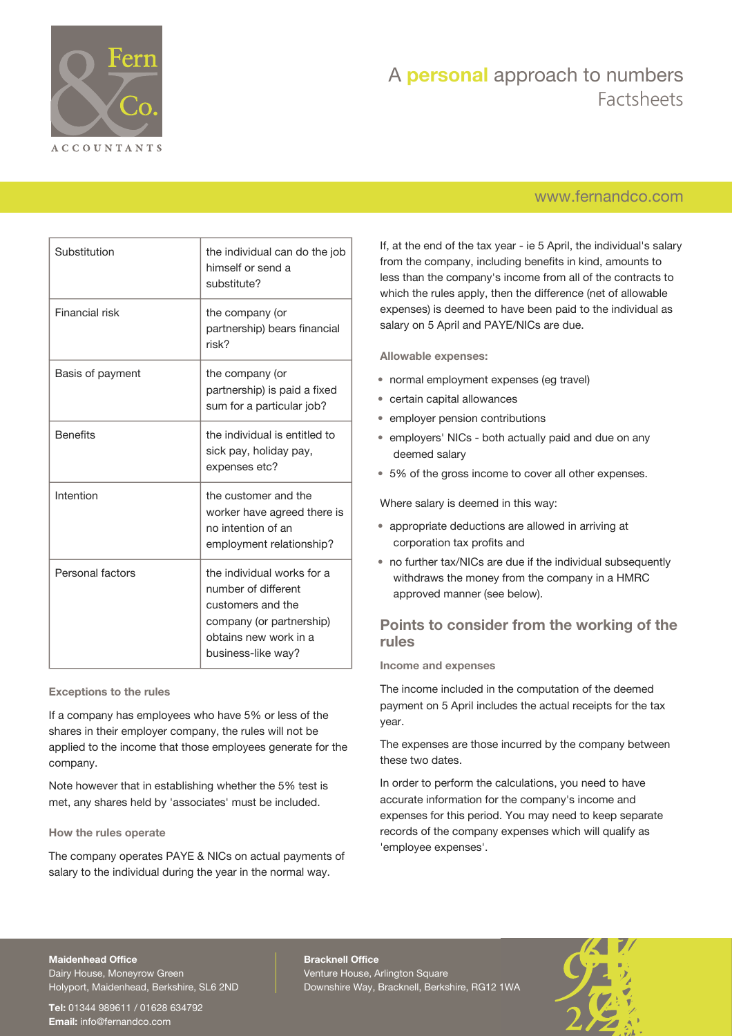

## [www.fernandco.com](http://www.fernandco.com)

| Substitution     | the individual can do the job<br>himself or send a<br>substitute?                                                                                 |
|------------------|---------------------------------------------------------------------------------------------------------------------------------------------------|
| Financial risk   | the company (or<br>partnership) bears financial<br>risk?                                                                                          |
| Basis of payment | the company (or<br>partnership) is paid a fixed<br>sum for a particular job?                                                                      |
| <b>Benefits</b>  | the individual is entitled to<br>sick pay, holiday pay,<br>expenses etc?                                                                          |
| Intention        | the customer and the<br>worker have agreed there is<br>no intention of an<br>employment relationship?                                             |
| Personal factors | the individual works for a<br>number of different<br>customers and the<br>company (or partnership)<br>obtains new work in a<br>business-like way? |

#### **Exceptions to the rules**

If a company has employees who have 5% or less of the shares in their employer company, the rules will not be applied to the income that those employees generate for the company.

Note however that in establishing whether the 5% test is met, any shares held by 'associates' must be included.

#### **How the rules operate**

The company operates PAYE & NICs on actual payments of salary to the individual during the year in the normal way.

If, at the end of the tax year - ie 5 April, the individual's salary from the company, including benefits in kind, amounts to less than the company's income from all of the contracts to which the rules apply, then the difference (net of allowable expenses) is deemed to have been paid to the individual as salary on 5 April and PAYE/NICs are due.

**Allowable expenses:**

- normal employment expenses (eg travel)
- certain capital allowances
- employer pension contributions
- employers' NICs both actually paid and due on any deemed salary
- 5% of the gross income to cover all other expenses.

Where salary is deemed in this way:

- appropriate deductions are allowed in arriving at corporation tax profits and
- no further tax/NICs are due if the individual subsequently withdraws the money from the company in a HMRC approved manner (see below).

## **Points to consider from the working of the rules**

**Income and expenses**

The income included in the computation of the deemed payment on 5 April includes the actual receipts for the tax year.

The expenses are those incurred by the company between these two dates.

In order to perform the calculations, you need to have accurate information for the company's income and expenses for this period. You may need to keep separate records of the company expenses which will qualify as 'employee expenses'.

#### **Maidenhead Office**

Dairy House, Moneyrow Green Holyport, Maidenhead, Berkshire, SL6 2ND

**Tel:** 01344 989611 / 01628 634792 **Email:** [info@fernandco.com](mailto:info@fernandco.com)

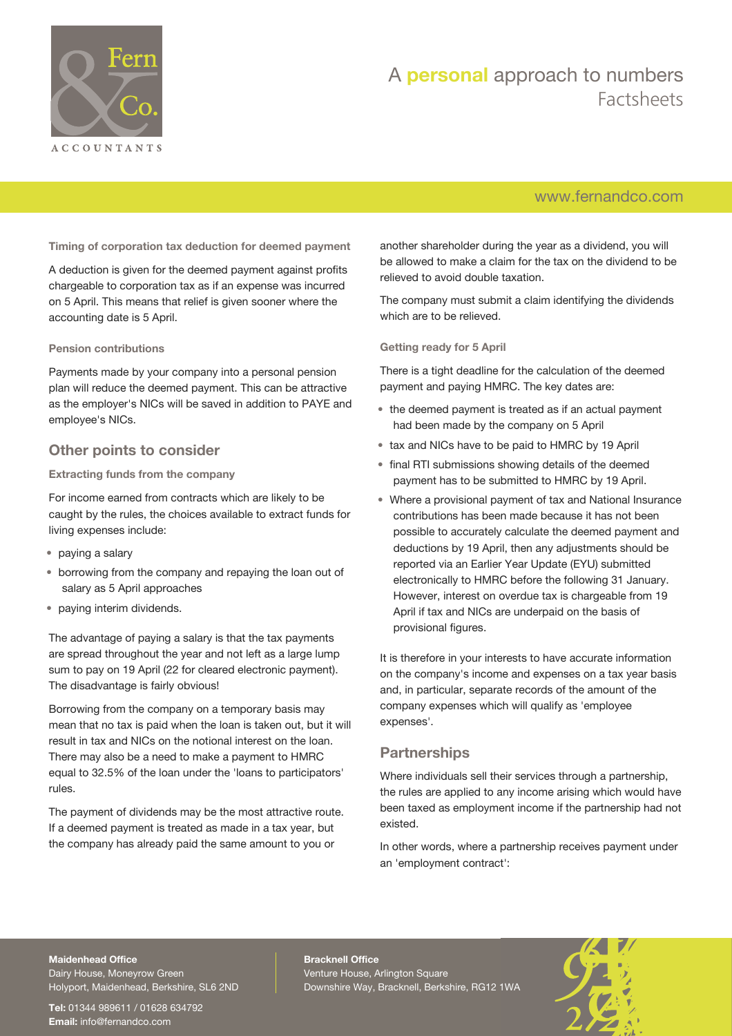

## [www.fernandco.com](http://www.fernandco.com)

**Timing of corporation tax deduction for deemed payment**

A deduction is given for the deemed payment against profits chargeable to corporation tax as if an expense was incurred on 5 April. This means that relief is given sooner where the accounting date is 5 April.

#### **Pension contributions**

Payments made by your company into a personal pension plan will reduce the deemed payment. This can be attractive as the employer's NICs will be saved in addition to PAYE and employee's NICs.

## **Other points to consider**

#### **Extracting funds from the company**

For income earned from contracts which are likely to be caught by the rules, the choices available to extract funds for living expenses include:

- paying a salary
- borrowing from the company and repaying the loan out of salary as 5 April approaches
- paying interim dividends.

The advantage of paying a salary is that the tax payments are spread throughout the year and not left as a large lump sum to pay on 19 April (22 for cleared electronic payment). The disadvantage is fairly obvious!

Borrowing from the company on a temporary basis may mean that no tax is paid when the loan is taken out, but it will result in tax and NICs on the notional interest on the loan. There may also be a need to make a payment to HMRC equal to 32.5% of the loan under the 'loans to participators' rules.

The payment of dividends may be the most attractive route. If a deemed payment is treated as made in a tax year, but the company has already paid the same amount to you or

another shareholder during the year as a dividend, you will be allowed to make a claim for the tax on the dividend to be relieved to avoid double taxation.

The company must submit a claim identifying the dividends which are to be relieved.

**Getting ready for 5 April**

There is a tight deadline for the calculation of the deemed payment and paying HMRC. The key dates are:

- the deemed payment is treated as if an actual payment had been made by the company on 5 April
- tax and NICs have to be paid to HMRC by 19 April
- final RTI submissions showing details of the deemed payment has to be submitted to HMRC by 19 April.
- Where a provisional payment of tax and National Insurance contributions has been made because it has not been possible to accurately calculate the deemed payment and deductions by 19 April, then any adjustments should be reported via an Earlier Year Update (EYU) submitted electronically to HMRC before the following 31 January. However, interest on overdue tax is chargeable from 19 April if tax and NICs are underpaid on the basis of provisional figures.

It is therefore in your interests to have accurate information on the company's income and expenses on a tax year basis and, in particular, separate records of the amount of the company expenses which will qualify as 'employee expenses'.

### **Partnerships**

Where individuals sell their services through a partnership, the rules are applied to any income arising which would have been taxed as employment income if the partnership had not existed.

In other words, where a partnership receives payment under an 'employment contract':

### **Maidenhead Office**

Dairy House, Moneyrow Green Holyport, Maidenhead, Berkshire, SL6 2ND

**Tel:** 01344 989611 / 01628 634792 **Email:** [info@fernandco.com](mailto:info@fernandco.com)

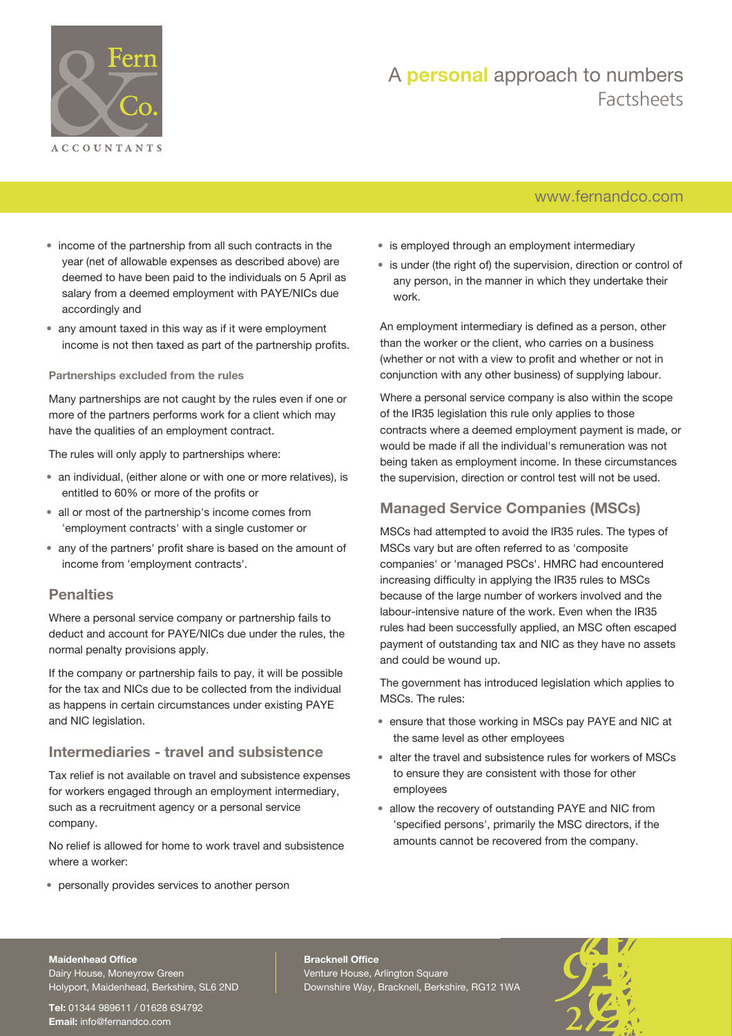

## [www.fernandco.com](http://www.fernandco.com)

- income of the partnership from all such contracts in the year (net of allowable expenses as described above) are deemed to have been paid to the individuals on 5 April as salary from a deemed employment with PAYE/NICs due accordingly and
- any amount taxed in this way as if it were employment income is not then taxed as part of the partnership profits.

#### **Partnerships excluded from the rules**

Many partnerships are not caught by the rules even if one or more of the partners performs work for a client which may have the qualities of an employment contract.

The rules will only apply to partnerships where:

- an individual, (either alone or with one or more relatives), is entitled to 60% or more of the profits or
- all or most of the partnership's income comes from 'employment contracts' with a single customer or
- any of the partners' profit share is based on the amount of income from 'employment contracts'.

### **Penalties**

Where a personal service company or partnership fails to deduct and account for PAYE/NICs due under the rules, the normal penalty provisions apply.

If the company or partnership fails to pay, it will be possible for the tax and NICs due to be collected from the individual as happens in certain circumstances under existing PAYE and NIC legislation.

#### **Intermediaries - travel and subsistence**

Tax relief is not available on travel and subsistence expenses for workers engaged through an employment intermediary, such as a recruitment agency or a personal service company.

No relief is allowed for home to work travel and subsistence where a worker:

• personally provides services to another person

- is employed through an employment intermediary
- is under (the right of) the supervision, direction or control of any person, in the manner in which they undertake their work.

An employment intermediary is defined as a person, other than the worker or the client, who carries on a business (whether or not with a view to profit and whether or not in conjunction with any other business) of supplying labour.

Where a personal service company is also within the scope of the IR35 legislation this rule only applies to those contracts where a deemed employment payment is made, or would be made if all the individual's remuneration was not being taken as employment income. In these circumstances the supervision, direction or control test will not be used.

## **Managed Service Companies (MSCs)**

MSCs had attempted to avoid the IR35 rules. The types of MSCs vary but are often referred to as 'composite companies' or 'managed PSCs'. HMRC had encountered increasing difficulty in applying the IR35 rules to MSCs because of the large number of workers involved and the labour-intensive nature of the work. Even when the IR35 rules had been successfully applied, an MSC often escaped payment of outstanding tax and NIC as they have no assets and could be wound up.

The government has introduced legislation which applies to MSCs. The rules:

- ensure that those working in MSCs pay PAYE and NIC at the same level as other employees
- alter the travel and subsistence rules for workers of MSCs to ensure they are consistent with those for other employees
- allow the recovery of outstanding PAYE and NIC from 'specified persons', primarily the MSC directors, if the amounts cannot be recovered from the company.

#### **Maidenhead Office**

Dairy House, Moneyrow Green Holyport, Maidenhead, Berkshire, SL6 2ND

**Tel:** 01344 989611 / 01628 634792 **Email:** [info@fernandco.com](mailto:info@fernandco.com)